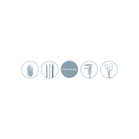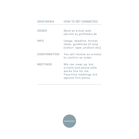| <b>GRAFISKBIX</b> | <b>HOW TO GET CONNECTED</b>                                                                                            |
|-------------------|------------------------------------------------------------------------------------------------------------------------|
| ORDER             | Send an e-mail with<br>job-info to gr@fiskbix.dk                                                                       |
| INFO              | Usage, deadline, format<br>ideas, guidelines (if any).<br>(colour, type, product etc).                                 |
| CONFIRMATION      | You will receive an e-mails<br>to confirm an order.                                                                    |
| <b>MEETINGS</b>   | We can meet up, but<br>e-mails and phone-calls<br>works fine for me.<br>Face-time meetings are<br>against firm-policy. |

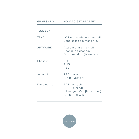| <b>GRAFISKBIX</b> | <b>HOW TO GET STARTET</b>                                                               |
|-------------------|-----------------------------------------------------------------------------------------|
| <b>TOOLBOX</b>    |                                                                                         |
| <b>TEXT</b>       | Write directly in an e-mail<br>Send text-document-file.                                 |
| <b>ARTWORK</b>    | Attached in an e-mail<br>Shared on dropbox<br>Download-link (transfer)                  |
| Photos:           | JPG<br>PNG<br><b>PSD</b>                                                                |
| Artwork:          | PSD (layer)<br>Al-file (vector)                                                         |
| Documents:        | PDF (editable)<br>PSD (layered)<br>InDesign IDML (links, font)<br>Al-file (links, font) |

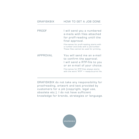## GRAFISKBIX HOW TO GET A JOB DONE

PROOF I will send you a numbered e-mails with files attached for proff-reading untill the final approval. File-names for proff-reading starts with a number and ends with a job-number. These files cannot be used for printing.

## APPROVAL You will send me an e-mail to confirm the approval. I will send a RTP-file to you or an e-mail of your choice.

File-names for RTP-files always starts with the word "RTP" = ready-to-print file.

GRAFISKBIX do not take any responsibility for proofreading, artwork and text provided by customers for a job (copyright, legal use, obsolete etc.). I do not have sufficient knowledge for brands, strategies or language.

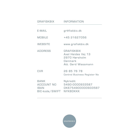| <b>GRAFISKBIX</b>                                                 | <b>INFORMATION</b>                                                                        |
|-------------------------------------------------------------------|-------------------------------------------------------------------------------------------|
| E-MAIL                                                            | gr@fiskbix.dk                                                                             |
| <b>MOBILE</b>                                                     | +45 21627056                                                                              |
| <b>WEBSITE</b>                                                    | www.grafiskbix.dk                                                                         |
| <b>ADDRESS</b>                                                    | <b>GRAFISKBIX</b><br>Axel Heides Vej 13<br>2970 Hørsholm<br>Denmark<br>Att. Gerd Wassmann |
| <b>CVR</b>                                                        | 26 85 76 78<br>Central Business Register No                                               |
| <b>BANK</b><br><b>ACCOUNT NO</b><br><b>IBAN</b><br>BIC-kode/SWIFT | Nykredit<br>5490-0000933587<br>DK6754900000933587<br><b>NYKBDKKK</b>                      |

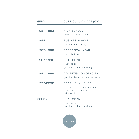| <b>GERD</b> | CURRICULUM VITAE [CV]                                                                         |
|-------------|-----------------------------------------------------------------------------------------------|
| 1981-1983   | <b>HIGH SCHOOL</b><br>mathematical student                                                    |
| 1984        | <b>BUSINES SCHOOL</b><br>law and accounting                                                   |
| 1985-1986   | <b>SABBATICAL YEAR</b><br>wine student                                                        |
| 1987-1990   | <b>GRAFISKBIX</b><br>illustration<br>graphic/industrial design                                |
| 1991-1999   | <b>ADVERTISING AGENCIES</b><br>graphic design / creative leader                               |
| 1999-2002   | <b>GRAPHIC IN-HOUSE</b><br>start-up of graphic in-house<br>department manager<br>art director |
| 2002 -      | <b>GRAFISKBIX</b><br>illustration<br>graphic/industrial design                                |